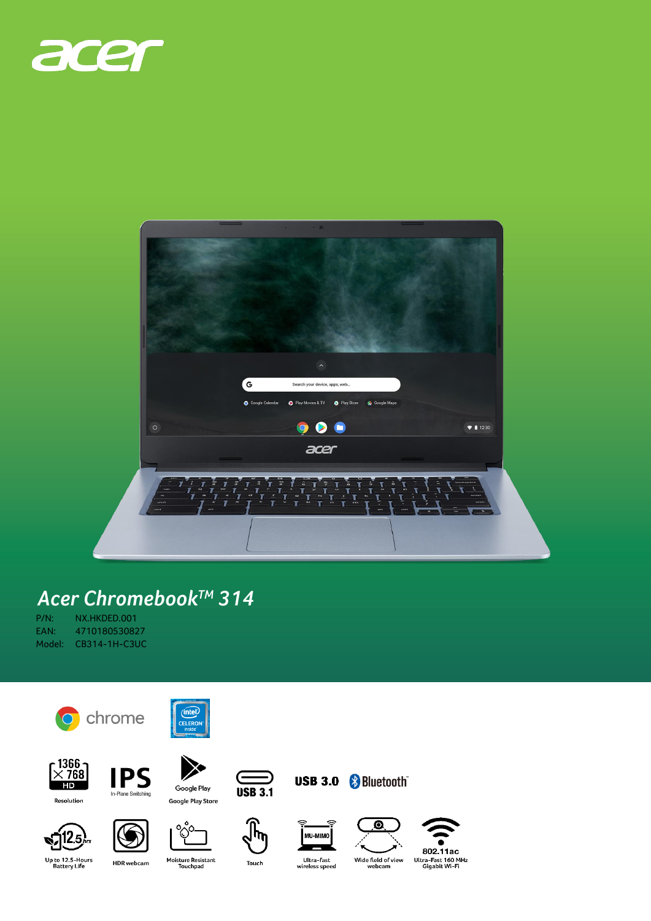



## Acer Chromebook™ 314

| P/N:     | NX.HKDED.001  |
|----------|---------------|
| FAN:     | 4710180530827 |
| Model: I | CB314-1H-C3UC |











 $\infty$ 

 $\subset$ **USB 3.1** 









Up to 12.5-Hours<br>Battery Life

 $512.5$ 

**HDR** webcam

Moisture Resistant<br>Touchpad

Touch

Ultra-fast<br>wireless speed

Wide field of view<br>webcam

Ultra-Fast 160 MHz<br>Gigabit Wi-Fi